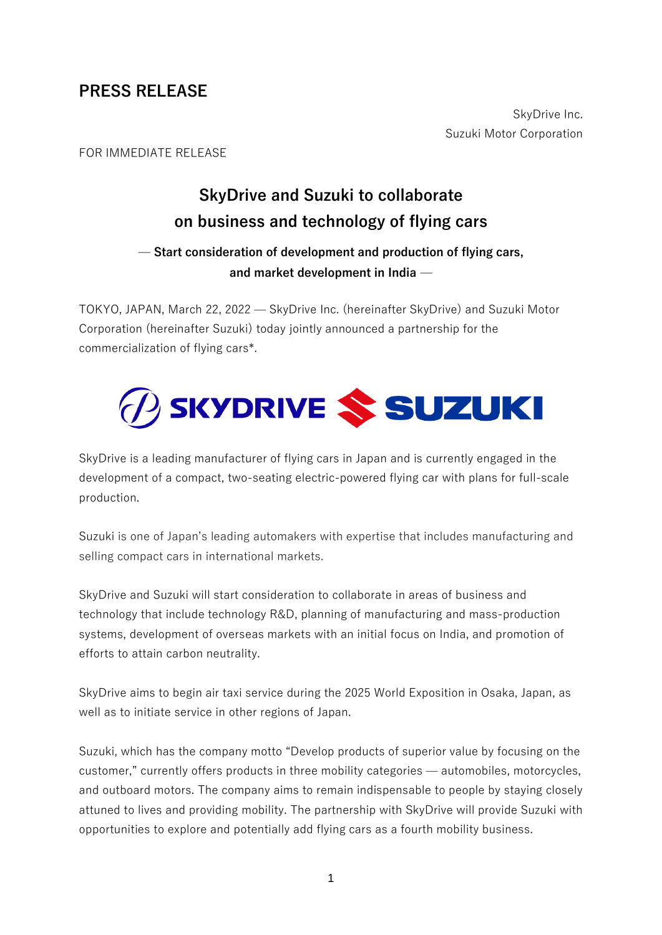# **PRESS RELEASE**

SkyDrive Inc. Suzuki Motor Corporation

#### FOR IMMEDIATE RELEASE

# **SkyDrive and Suzuki to collaborate on business and technology of flying cars**

## — **Start consideration of development and production of flying cars, and market development in India** —

TOKYO, JAPAN, March 22, 2022 — SkyDrive Inc. (hereinafter SkyDrive) and Suzuki Motor Corporation (hereinafter Suzuki) today jointly announced a partnership for the commercialization of flying cars\*.



SkyDrive is a leading manufacturer of flying cars in Japan and is currently engaged in the development of a compact, two-seating electric-powered flying car with plans for full-scale production.

Suzuki is one of Japan's leading automakers with expertise that includes manufacturing and selling compact cars in international markets.

SkyDrive and Suzuki will start consideration to collaborate in areas of business and technology that include technology R&D, planning of manufacturing and mass-production systems, development of overseas markets with an initial focus on India, and promotion of efforts to attain carbon neutrality.

SkyDrive aims to begin air taxi service during the 2025 World Exposition in Osaka, Japan, as well as to initiate service in other regions of Japan.

Suzuki, which has the company motto "Develop products of superior value by focusing on the customer," currently offers products in three mobility categories — automobiles, motorcycles, and outboard motors. The company aims to remain indispensable to people by staying closely attuned to lives and providing mobility. The partnership with SkyDrive will provide Suzuki with opportunities to explore and potentially add flying cars as a fourth mobility business.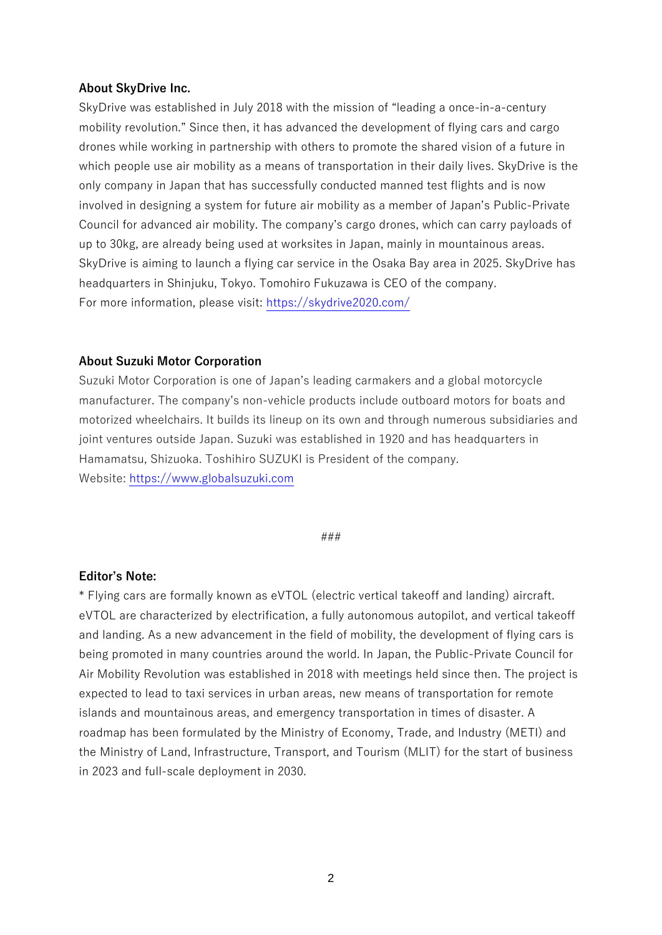#### **About SkyDrive Inc.**

SkyDrive was established in July 2018 with the mission of "leading a once-in-a-century mobility revolution." Since then, it has advanced the development of flying cars and cargo drones while working in partnership with others to promote the shared vision of a future in which people use air mobility as a means of transportation in their daily lives. SkyDrive is the only company in Japan that has successfully conducted manned test flights and is now involved in designing a system for future air mobility as a member of Japan's Public-Private Council for advanced air mobility. The company's cargo drones, which can carry payloads of up to 30kg, are already being used at worksites in Japan, mainly in mountainous areas. SkyDrive is aiming to launch a flying car service in the Osaka Bay area in 2025. SkyDrive has headquarters in Shinjuku, Tokyo. Tomohiro Fukuzawa is CEO of the company. For more information, please visit: [https://skydrive2020.com/](about:blank)

#### **About Suzuki Motor Corporation**

Suzuki Motor Corporation is one of Japan's leading carmakers and a global motorcycle manufacturer. The company's non-vehicle products include outboard motors for boats and motorized wheelchairs. It builds its lineup on its own and through numerous subsidiaries and joint ventures outside Japan. Suzuki was established in 1920 and has headquarters in Hamamatsu, Shizuoka. Toshihiro SUZUKI is President of the company. Website: [https://www.globalsuzuki.com](about:blank)

#### ###

#### **Editor's Note:**

\* Flying cars are formally known as eVTOL (electric vertical takeoff and landing) aircraft. eVTOL are characterized by electrification, a fully autonomous autopilot, and vertical takeoff and landing. As a new advancement in the field of mobility, the development of flying cars is being promoted in many countries around the world. In Japan, the Public-Private Council for Air Mobility Revolution was established in 2018 with meetings held since then. The project is expected to lead to taxi services in urban areas, new means of transportation for remote islands and mountainous areas, and emergency transportation in times of disaster. A roadmap has been formulated by the Ministry of Economy, Trade, and Industry (METI) and the Ministry of Land, Infrastructure, Transport, and Tourism (MLIT) for the start of business in 2023 and full-scale deployment in 2030.